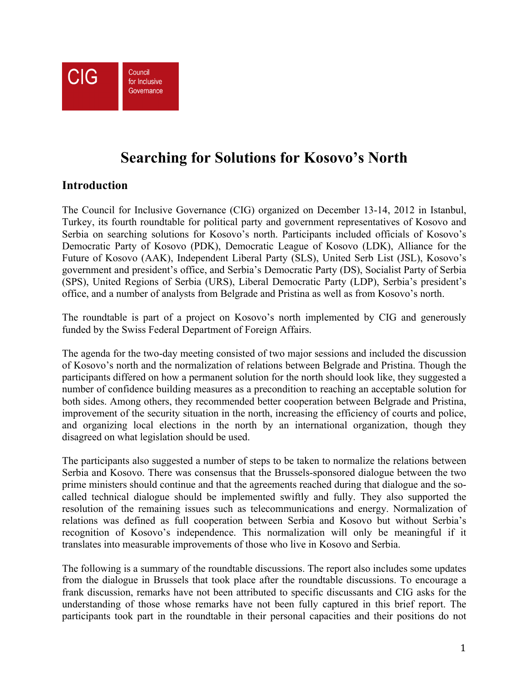

# **Searching for Solutions for Kosovo's North**

## **Introduction**

The Council for Inclusive Governance (CIG) organized on December 13-14, 2012 in Istanbul, Turkey, its fourth roundtable for political party and government representatives of Kosovo and Serbia on searching solutions for Kosovo's north. Participants included officials of Kosovo's Democratic Party of Kosovo (PDK), Democratic League of Kosovo (LDK), Alliance for the Future of Kosovo (AAK), Independent Liberal Party (SLS), United Serb List (JSL), Kosovo's government and president's office, and Serbia's Democratic Party (DS), Socialist Party of Serbia (SPS), United Regions of Serbia (URS), Liberal Democratic Party (LDP), Serbia's president's office, and a number of analysts from Belgrade and Pristina as well as from Kosovo's north.

The roundtable is part of a project on Kosovo's north implemented by CIG and generously funded by the Swiss Federal Department of Foreign Affairs.

The agenda for the two-day meeting consisted of two major sessions and included the discussion of Kosovo's north and the normalization of relations between Belgrade and Pristina. Though the participants differed on how a permanent solution for the north should look like, they suggested a number of confidence building measures as a precondition to reaching an acceptable solution for both sides. Among others, they recommended better cooperation between Belgrade and Pristina, improvement of the security situation in the north, increasing the efficiency of courts and police, and organizing local elections in the north by an international organization, though they disagreed on what legislation should be used.

The participants also suggested a number of steps to be taken to normalize the relations between Serbia and Kosovo. There was consensus that the Brussels-sponsored dialogue between the two prime ministers should continue and that the agreements reached during that dialogue and the socalled technical dialogue should be implemented swiftly and fully. They also supported the resolution of the remaining issues such as telecommunications and energy. Normalization of relations was defined as full cooperation between Serbia and Kosovo but without Serbia's recognition of Kosovo's independence. This normalization will only be meaningful if it translates into measurable improvements of those who live in Kosovo and Serbia.

The following is a summary of the roundtable discussions. The report also includes some updates from the dialogue in Brussels that took place after the roundtable discussions. To encourage a frank discussion, remarks have not been attributed to specific discussants and CIG asks for the understanding of those whose remarks have not been fully captured in this brief report. The participants took part in the roundtable in their personal capacities and their positions do not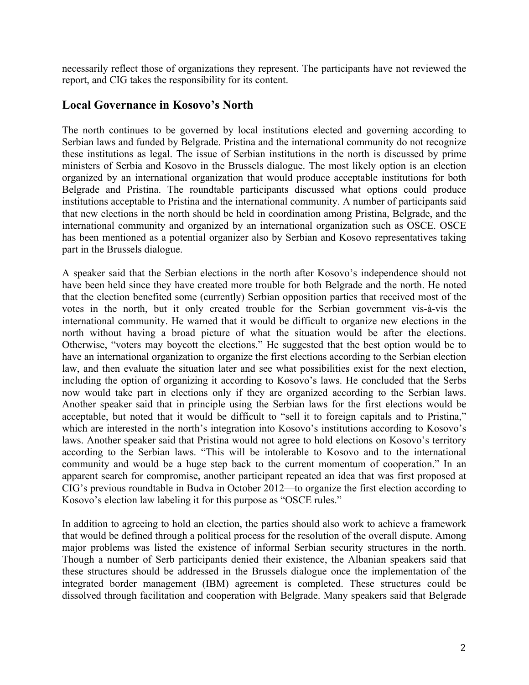necessarily reflect those of organizations they represent. The participants have not reviewed the report, and CIG takes the responsibility for its content.

#### **Local Governance in Kosovo's North**

The north continues to be governed by local institutions elected and governing according to Serbian laws and funded by Belgrade. Pristina and the international community do not recognize these institutions as legal. The issue of Serbian institutions in the north is discussed by prime ministers of Serbia and Kosovo in the Brussels dialogue. The most likely option is an election organized by an international organization that would produce acceptable institutions for both Belgrade and Pristina. The roundtable participants discussed what options could produce institutions acceptable to Pristina and the international community. A number of participants said that new elections in the north should be held in coordination among Pristina, Belgrade, and the international community and organized by an international organization such as OSCE. OSCE has been mentioned as a potential organizer also by Serbian and Kosovo representatives taking part in the Brussels dialogue.

A speaker said that the Serbian elections in the north after Kosovo's independence should not have been held since they have created more trouble for both Belgrade and the north. He noted that the election benefited some (currently) Serbian opposition parties that received most of the votes in the north, but it only created trouble for the Serbian government vis-à-vis the international community. He warned that it would be difficult to organize new elections in the north without having a broad picture of what the situation would be after the elections. Otherwise, "voters may boycott the elections." He suggested that the best option would be to have an international organization to organize the first elections according to the Serbian election law, and then evaluate the situation later and see what possibilities exist for the next election, including the option of organizing it according to Kosovo's laws. He concluded that the Serbs now would take part in elections only if they are organized according to the Serbian laws. Another speaker said that in principle using the Serbian laws for the first elections would be acceptable, but noted that it would be difficult to "sell it to foreign capitals and to Pristina," which are interested in the north's integration into Kosovo's institutions according to Kosovo's laws. Another speaker said that Pristina would not agree to hold elections on Kosovo's territory according to the Serbian laws. "This will be intolerable to Kosovo and to the international community and would be a huge step back to the current momentum of cooperation." In an apparent search for compromise, another participant repeated an idea that was first proposed at CIG's previous roundtable in Budva in October 2012—to organize the first election according to Kosovo's election law labeling it for this purpose as "OSCE rules."

In addition to agreeing to hold an election, the parties should also work to achieve a framework that would be defined through a political process for the resolution of the overall dispute. Among major problems was listed the existence of informal Serbian security structures in the north. Though a number of Serb participants denied their existence, the Albanian speakers said that these structures should be addressed in the Brussels dialogue once the implementation of the integrated border management (IBM) agreement is completed. These structures could be dissolved through facilitation and cooperation with Belgrade. Many speakers said that Belgrade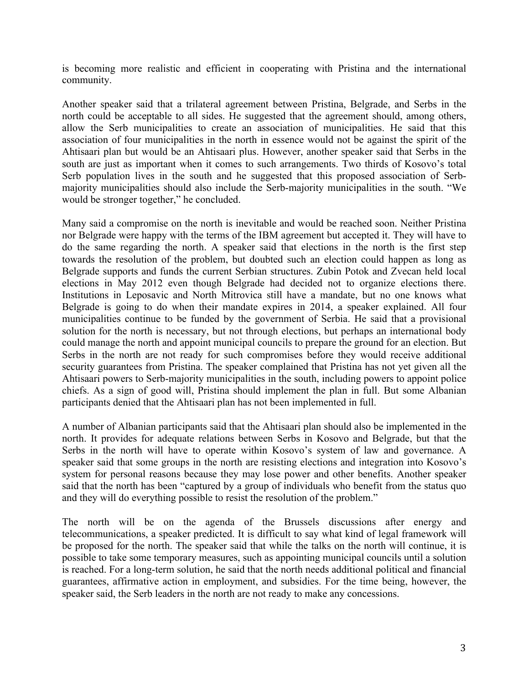is becoming more realistic and efficient in cooperating with Pristina and the international community.

Another speaker said that a trilateral agreement between Pristina, Belgrade, and Serbs in the north could be acceptable to all sides. He suggested that the agreement should, among others, allow the Serb municipalities to create an association of municipalities. He said that this association of four municipalities in the north in essence would not be against the spirit of the Ahtisaari plan but would be an Ahtisaari plus. However, another speaker said that Serbs in the south are just as important when it comes to such arrangements. Two thirds of Kosovo's total Serb population lives in the south and he suggested that this proposed association of Serbmajority municipalities should also include the Serb-majority municipalities in the south. "We would be stronger together," he concluded.

Many said a compromise on the north is inevitable and would be reached soon. Neither Pristina nor Belgrade were happy with the terms of the IBM agreement but accepted it. They will have to do the same regarding the north. A speaker said that elections in the north is the first step towards the resolution of the problem, but doubted such an election could happen as long as Belgrade supports and funds the current Serbian structures. Zubin Potok and Zvecan held local elections in May 2012 even though Belgrade had decided not to organize elections there. Institutions in Leposavic and North Mitrovica still have a mandate, but no one knows what Belgrade is going to do when their mandate expires in 2014, a speaker explained. All four municipalities continue to be funded by the government of Serbia. He said that a provisional solution for the north is necessary, but not through elections, but perhaps an international body could manage the north and appoint municipal councils to prepare the ground for an election. But Serbs in the north are not ready for such compromises before they would receive additional security guarantees from Pristina. The speaker complained that Pristina has not yet given all the Ahtisaari powers to Serb-majority municipalities in the south, including powers to appoint police chiefs. As a sign of good will, Pristina should implement the plan in full. But some Albanian participants denied that the Ahtisaari plan has not been implemented in full.

A number of Albanian participants said that the Ahtisaari plan should also be implemented in the north. It provides for adequate relations between Serbs in Kosovo and Belgrade, but that the Serbs in the north will have to operate within Kosovo's system of law and governance. A speaker said that some groups in the north are resisting elections and integration into Kosovo's system for personal reasons because they may lose power and other benefits. Another speaker said that the north has been "captured by a group of individuals who benefit from the status quo and they will do everything possible to resist the resolution of the problem."

The north will be on the agenda of the Brussels discussions after energy and telecommunications, a speaker predicted. It is difficult to say what kind of legal framework will be proposed for the north. The speaker said that while the talks on the north will continue, it is possible to take some temporary measures, such as appointing municipal councils until a solution is reached. For a long-term solution, he said that the north needs additional political and financial guarantees, affirmative action in employment, and subsidies. For the time being, however, the speaker said, the Serb leaders in the north are not ready to make any concessions.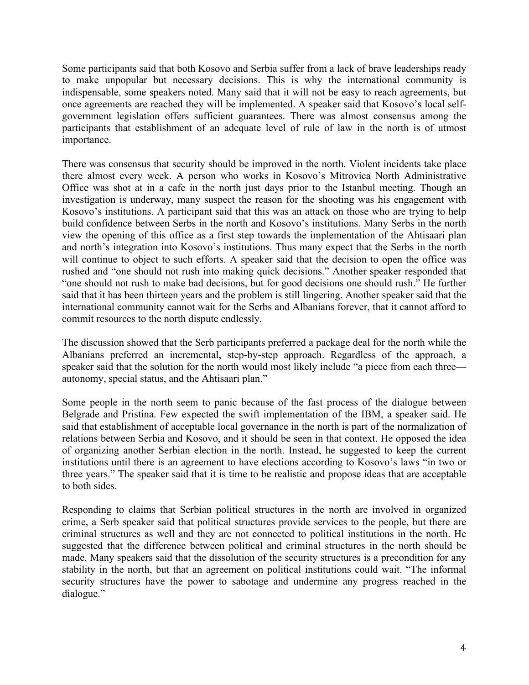Some participants said that both Kosovo and Serbia suffer from a lack of brave leaderships ready to make unpopular but necessary decisions. This is why the international community is indispensable, some speakers noted. Many said that it will not be easy to reach agreements, but once agreements are reached they will be implemented. A speaker said that Kosovo's local selfgovernment legislation offers sufficient guarantees. There was almost consensus among the participants that establishment of an adequate level of rule of law in the north is of utmost importance.

There was consensus that security should be improved in the north. Violent incidents take place there almost every week. A person who works in Kosovo's Mitrovica North Administrative Office was shot at in a cafe in the north just days prior to the Istanbul meeting. Though an investigation is underway, many suspect the reason for the shooting was his engagement with Kosovo's institutions. A participant said that this was an attack on those who are trying to help build confidence between Serbs in the north and Kosovo's institutions. Many Serbs in the north view the opening of this office as a first step towards the implementation of the Ahtisaari plan and north's integration into Kosovo's institutions. Thus many expect that the Serbs in the north will continue to object to such efforts. A speaker said that the decision to open the office was rushed and "one should not rush into making quick decisions." Another speaker responded that "one should not rush to make bad decisions, but for good decisions one should rush." He further said that it has been thirteen years and the problem is still lingering. Another speaker said that the international community cannot wait for the Serbs and Albanians forever, that it cannot afford to commit resources to the north dispute endlessly.

The discussion showed that the Serb participants preferred a package deal for the north while the Albanians preferred an incremental, step-by-step approach. Regardless of the approach, a speaker said that the solution for the north would most likely include "a piece from each three autonomy, special status, and the Ahtisaari plan."

Some people in the north seem to panic because of the fast process of the dialogue between Belgrade and Pristina. Few expected the swift implementation of the IBM, a speaker said. He said that establishment of acceptable local governance in the north is part of the normalization of relations between Serbia and Kosovo, and it should be seen in that context. He opposed the idea of organizing another Serbian election in the north. Instead, he suggested to keep the current institutions until there is an agreement to have elections according to Kosovo's laws "in two or three years." The speaker said that it is time to be realistic and propose ideas that are acceptable to both sides.

Responding to claims that Serbian political structures in the north are involved in organized crime, a Serb speaker said that political structures provide services to the people, but there are criminal structures as well and they are not connected to political institutions in the north. He suggested that the difference between political and criminal structures in the north should be made. Many speakers said that the dissolution of the security structures is a precondition for any stability in the north, but that an agreement on political institutions could wait. "The informal security structures have the power to sabotage and undermine any progress reached in the dialogue."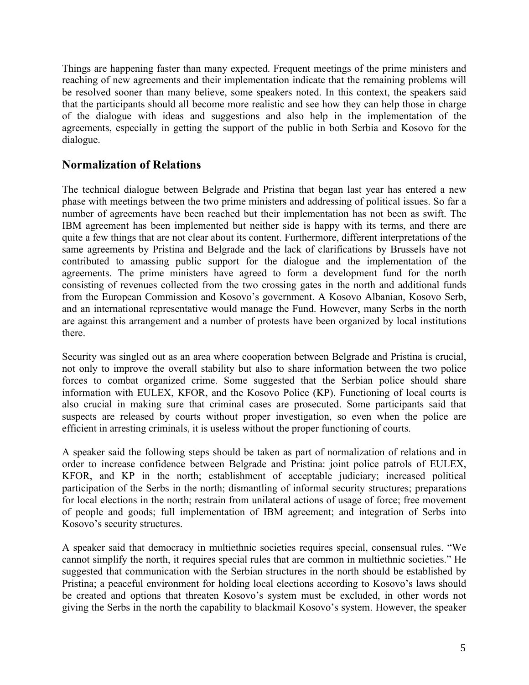Things are happening faster than many expected. Frequent meetings of the prime ministers and reaching of new agreements and their implementation indicate that the remaining problems will be resolved sooner than many believe, some speakers noted. In this context, the speakers said that the participants should all become more realistic and see how they can help those in charge of the dialogue with ideas and suggestions and also help in the implementation of the agreements, especially in getting the support of the public in both Serbia and Kosovo for the dialogue.

# **Normalization of Relations**

The technical dialogue between Belgrade and Pristina that began last year has entered a new phase with meetings between the two prime ministers and addressing of political issues. So far a number of agreements have been reached but their implementation has not been as swift. The IBM agreement has been implemented but neither side is happy with its terms, and there are quite a few things that are not clear about its content. Furthermore, different interpretations of the same agreements by Pristina and Belgrade and the lack of clarifications by Brussels have not contributed to amassing public support for the dialogue and the implementation of the agreements. The prime ministers have agreed to form a development fund for the north consisting of revenues collected from the two crossing gates in the north and additional funds from the European Commission and Kosovo's government. A Kosovo Albanian, Kosovo Serb, and an international representative would manage the Fund. However, many Serbs in the north are against this arrangement and a number of protests have been organized by local institutions there.

Security was singled out as an area where cooperation between Belgrade and Pristina is crucial, not only to improve the overall stability but also to share information between the two police forces to combat organized crime. Some suggested that the Serbian police should share information with EULEX, KFOR, and the Kosovo Police (KP). Functioning of local courts is also crucial in making sure that criminal cases are prosecuted. Some participants said that suspects are released by courts without proper investigation, so even when the police are efficient in arresting criminals, it is useless without the proper functioning of courts.

A speaker said the following steps should be taken as part of normalization of relations and in order to increase confidence between Belgrade and Pristina: joint police patrols of EULEX, KFOR, and KP in the north; establishment of acceptable judiciary; increased political participation of the Serbs in the north; dismantling of informal security structures; preparations for local elections in the north; restrain from unilateral actions of usage of force; free movement of people and goods; full implementation of IBM agreement; and integration of Serbs into Kosovo's security structures.

A speaker said that democracy in multiethnic societies requires special, consensual rules. "We cannot simplify the north, it requires special rules that are common in multiethnic societies." He suggested that communication with the Serbian structures in the north should be established by Pristina; a peaceful environment for holding local elections according to Kosovo's laws should be created and options that threaten Kosovo's system must be excluded, in other words not giving the Serbs in the north the capability to blackmail Kosovo's system. However, the speaker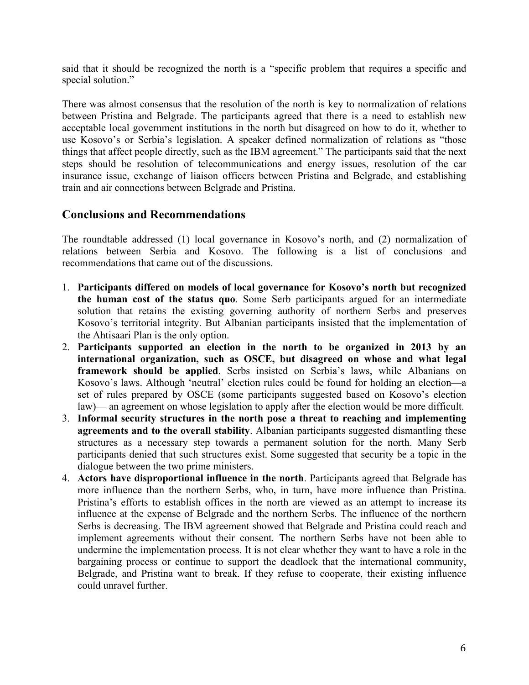said that it should be recognized the north is a "specific problem that requires a specific and special solution."

There was almost consensus that the resolution of the north is key to normalization of relations between Pristina and Belgrade. The participants agreed that there is a need to establish new acceptable local government institutions in the north but disagreed on how to do it, whether to use Kosovo's or Serbia's legislation. A speaker defined normalization of relations as "those things that affect people directly, such as the IBM agreement." The participants said that the next steps should be resolution of telecommunications and energy issues, resolution of the car insurance issue, exchange of liaison officers between Pristina and Belgrade, and establishing train and air connections between Belgrade and Pristina.

## **Conclusions and Recommendations**

The roundtable addressed (1) local governance in Kosovo's north, and (2) normalization of relations between Serbia and Kosovo. The following is a list of conclusions and recommendations that came out of the discussions.

- 1. **Participants differed on models of local governance for Kosovo's north but recognized the human cost of the status quo**. Some Serb participants argued for an intermediate solution that retains the existing governing authority of northern Serbs and preserves Kosovo's territorial integrity. But Albanian participants insisted that the implementation of the Ahtisaari Plan is the only option.
- 2. **Participants supported an election in the north to be organized in 2013 by an international organization, such as OSCE, but disagreed on whose and what legal framework should be applied**. Serbs insisted on Serbia's laws, while Albanians on Kosovo's laws. Although 'neutral' election rules could be found for holding an election—a set of rules prepared by OSCE (some participants suggested based on Kosovo's election law)— an agreement on whose legislation to apply after the election would be more difficult.
- 3. **Informal security structures in the north pose a threat to reaching and implementing agreements and to the overall stability**. Albanian participants suggested dismantling these structures as a necessary step towards a permanent solution for the north. Many Serb participants denied that such structures exist. Some suggested that security be a topic in the dialogue between the two prime ministers.
- 4. **Actors have disproportional influence in the north**. Participants agreed that Belgrade has more influence than the northern Serbs, who, in turn, have more influence than Pristina. Pristina's efforts to establish offices in the north are viewed as an attempt to increase its influence at the expense of Belgrade and the northern Serbs. The influence of the northern Serbs is decreasing. The IBM agreement showed that Belgrade and Pristina could reach and implement agreements without their consent. The northern Serbs have not been able to undermine the implementation process. It is not clear whether they want to have a role in the bargaining process or continue to support the deadlock that the international community, Belgrade, and Pristina want to break. If they refuse to cooperate, their existing influence could unravel further.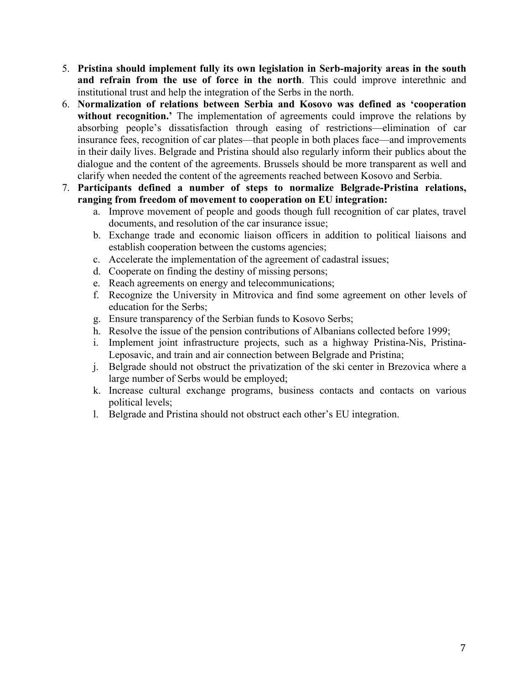- 5. **Pristina should implement fully its own legislation in Serb-majority areas in the south and refrain from the use of force in the north**. This could improve interethnic and institutional trust and help the integration of the Serbs in the north.
- 6. **Normalization of relations between Serbia and Kosovo was defined as 'cooperation**  without recognition.' The implementation of agreements could improve the relations by absorbing people's dissatisfaction through easing of restrictions—elimination of car insurance fees, recognition of car plates—that people in both places face—and improvements in their daily lives. Belgrade and Pristina should also regularly inform their publics about the dialogue and the content of the agreements. Brussels should be more transparent as well and clarify when needed the content of the agreements reached between Kosovo and Serbia.
- 7. **Participants defined a number of steps to normalize Belgrade-Pristina relations, ranging from freedom of movement to cooperation on EU integration:**
	- a. Improve movement of people and goods though full recognition of car plates, travel documents, and resolution of the car insurance issue;
	- b. Exchange trade and economic liaison officers in addition to political liaisons and establish cooperation between the customs agencies;
	- c. Accelerate the implementation of the agreement of cadastral issues;
	- d. Cooperate on finding the destiny of missing persons;
	- e. Reach agreements on energy and telecommunications;
	- f. Recognize the University in Mitrovica and find some agreement on other levels of education for the Serbs;
	- g. Ensure transparency of the Serbian funds to Kosovo Serbs;
	- h. Resolve the issue of the pension contributions of Albanians collected before 1999;
	- i. Implement joint infrastructure projects, such as a highway Pristina-Nis, Pristina-Leposavic, and train and air connection between Belgrade and Pristina;
	- j. Belgrade should not obstruct the privatization of the ski center in Brezovica where a large number of Serbs would be employed;
	- k. Increase cultural exchange programs, business contacts and contacts on various political levels;
	- l. Belgrade and Pristina should not obstruct each other's EU integration.